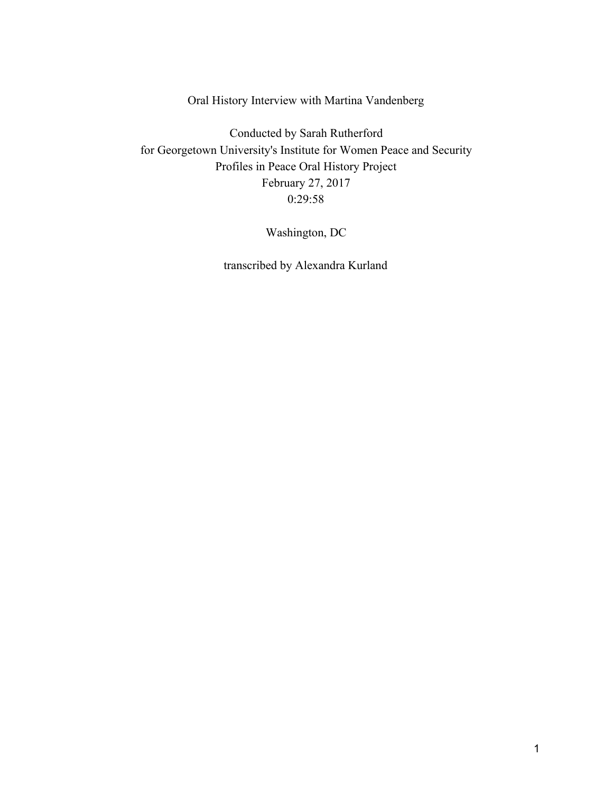Oral History Interview with Martina Vandenberg

Conducted by Sarah Rutherford for Georgetown University's Institute for Women Peace and Security Profiles in Peace Oral History Project February 27, 2017 0:29:58

Washington, DC

transcribed by Alexandra Kurland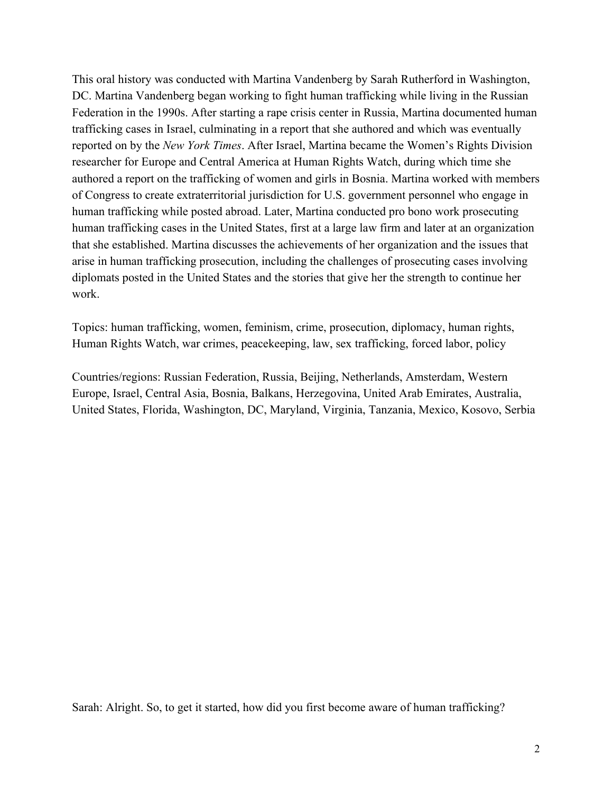This oral history was conducted with Martina Vandenberg by Sarah Rutherford in Washington, DC. Martina Vandenberg began working to fight human trafficking while living in the Russian Federation in the 1990s. After starting a rape crisis center in Russia, Martina documented human trafficking cases in Israel, culminating in a report that she authored and which was eventually reported on by the *New York Times*. After Israel, Martina became the Women's Rights Division researcher for Europe and Central America at Human Rights Watch, during which time she authored a report on the trafficking of women and girls in Bosnia. Martina worked with members of Congress to create extraterritorial jurisdiction for U.S. government personnel who engage in human trafficking while posted abroad. Later, Martina conducted pro bono work prosecuting human trafficking cases in the United States, first at a large law firm and later at an organization that she established. Martina discusses the achievements of her organization and the issues that arise in human trafficking prosecution, including the challenges of prosecuting cases involving diplomats posted in the United States and the stories that give her the strength to continue her work.

Topics: human trafficking, women, feminism, crime, prosecution, diplomacy, human rights, Human Rights Watch, war crimes, peacekeeping, law, sex trafficking, forced labor, policy

Countries/regions: Russian Federation, Russia, Beijing, Netherlands, Amsterdam, Western Europe, Israel, Central Asia, Bosnia, Balkans, Herzegovina, United Arab Emirates, Australia, United States, Florida, Washington, DC, Maryland, Virginia, Tanzania, Mexico, Kosovo, Serbia

Sarah: Alright. So, to get it started, how did you first become aware of human trafficking?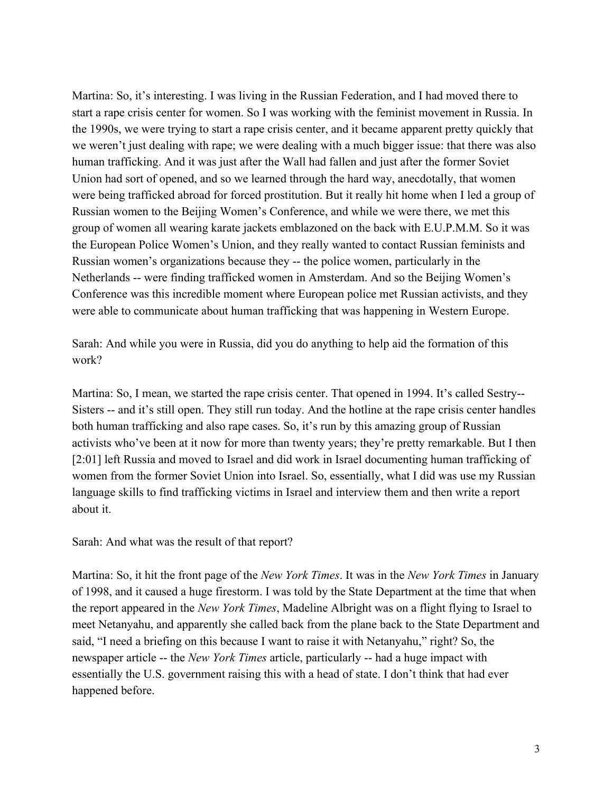Martina: So, it's interesting. I was living in the Russian Federation, and I had moved there to start a rape crisis center for women. So I was working with the feminist movement in Russia. In the 1990s, we were trying to start a rape crisis center, and it became apparent pretty quickly that we weren't just dealing with rape; we were dealing with a much bigger issue: that there was also human trafficking. And it was just after the Wall had fallen and just after the former Soviet Union had sort of opened, and so we learned through the hard way, anecdotally, that women were being trafficked abroad for forced prostitution. But it really hit home when I led a group of Russian women to the Beijing Women's Conference, and while we were there, we met this group of women all wearing karate jackets emblazoned on the back with E.U.P.M.M. So it was the European Police Women's Union, and they really wanted to contact Russian feminists and Russian women's organizations because they -- the police women, particularly in the Netherlands -- were finding trafficked women in Amsterdam. And so the Beijing Women's Conference was this incredible moment where European police met Russian activists, and they were able to communicate about human trafficking that was happening in Western Europe.

Sarah: And while you were in Russia, did you do anything to help aid the formation of this work?

Martina: So, I mean, we started the rape crisis center. That opened in 1994. It's called Sestry-- Sisters -- and it's still open. They still run today. And the hotline at the rape crisis center handles both human trafficking and also rape cases. So, it's run by this amazing group of Russian activists who've been at it now for more than twenty years; they're pretty remarkable. But I then [2:01] left Russia and moved to Israel and did work in Israel documenting human trafficking of women from the former Soviet Union into Israel. So, essentially, what I did was use my Russian language skills to find trafficking victims in Israel and interview them and then write a report about it.

Sarah: And what was the result of that report?

Martina: So, it hit the front page of the *New York Times*. It was in the *New York Times* in January of 1998, and it caused a huge firestorm. I was told by the State Department at the time that when the report appeared in the *New York Times*, Madeline Albright was on a flight flying to Israel to meet Netanyahu, and apparently she called back from the plane back to the State Department and said, "I need a briefing on this because I want to raise it with Netanyahu," right? So, the newspaper article -- the *New York Times* article, particularly -- had a huge impact with essentially the U.S. government raising this with a head of state. I don't think that had ever happened before.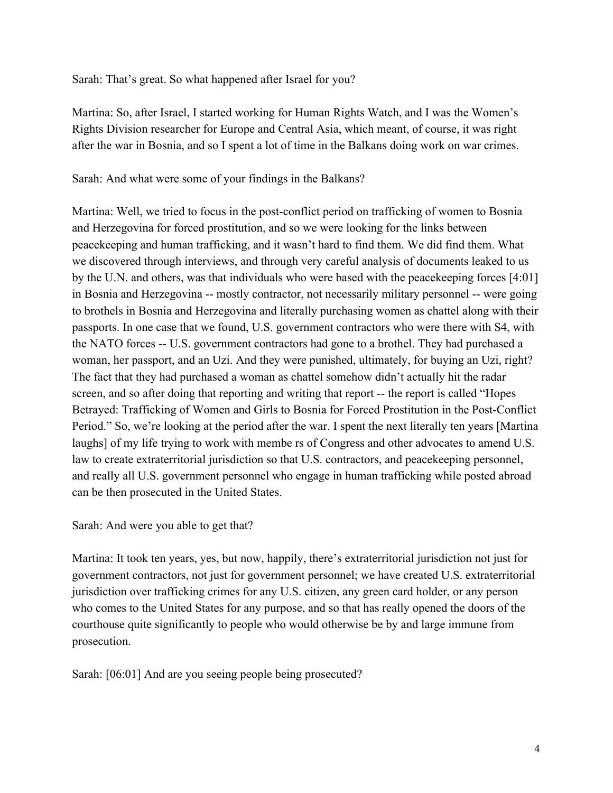Sarah: That's great. So what happened after Israel for you?

Martina: So, after Israel, I started working for Human Rights Watch, and I was the Women's Rights Division researcher for Europe and Central Asia, which meant, of course, it was right after the war in Bosnia, and so I spent a lot of time in the Balkans doing work on war crimes.

Sarah: And what were some of your findings in the Balkans?

Martina: Well, we tried to focus in the post-conflict period on trafficking of women to Bosnia and Herzegovina for forced prostitution, and so we were looking for the links between peacekeeping and human trafficking, and it wasn't hard to find them. We did find them. What we discovered through interviews, and through very careful analysis of documents leaked to us by the U.N. and others, was that individuals who were based with the peacekeeping forces [4:01] in Bosnia and Herzegovina -- mostly contractor, not necessarily military personnel -- were going to brothels in Bosnia and Herzegovina and literally purchasing women as chattel along with their passports. In one case that we found, U.S. government contractors who were there with S4, with the NATO forces -- U.S. government contractors had gone to a brothel. They had purchased a woman, her passport, and an Uzi. And they were punished, ultimately, for buying an Uzi, right? The fact that they had purchased a woman as chattel somehow didn't actually hit the radar screen, and so after doing that reporting and writing that report -- the report is called "Hopes Betrayed: Trafficking of Women and Girls to Bosnia for Forced Prostitution in the Post-Conflict Period." So, we're looking at the period after the war. I spent the next literally ten years [Martina laughs] of my life trying to work with membe rs of Congress and other advocates to amend U.S. law to create extraterritorial jurisdiction so that U.S. contractors, and peacekeeping personnel, and really all U.S. government personnel who engage in human trafficking while posted abroad can be then prosecuted in the United States.

Sarah: And were you able to get that?

Martina: It took ten years, yes, but now, happily, there's extraterritorial jurisdiction not just for government contractors, not just for government personnel; we have created U.S. extraterritorial jurisdiction over trafficking crimes for any U.S. citizen, any green card holder, or any person who comes to the United States for any purpose, and so that has really opened the doors of the courthouse quite significantly to people who would otherwise be by and large immune from prosecution.

Sarah: [06:01] And are you seeing people being prosecuted?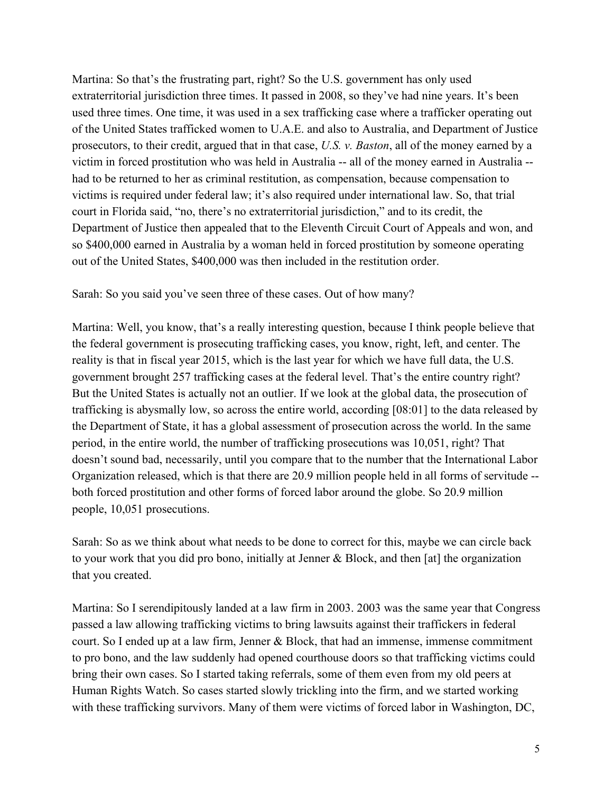Martina: So that's the frustrating part, right? So the U.S. government has only used extraterritorial jurisdiction three times. It passed in 2008, so they've had nine years. It's been used three times. One time, it was used in a sex trafficking case where a trafficker operating out of the United States trafficked women to U.A.E. and also to Australia, and Department of Justice prosecutors, to their credit, argued that in that case, *U.S. v. Baston*, all of the money earned by a victim in forced prostitution who was held in Australia -- all of the money earned in Australia - had to be returned to her as criminal restitution, as compensation, because compensation to victims is required under federal law; it's also required under international law. So, that trial court in Florida said, "no, there's no extraterritorial jurisdiction," and to its credit, the Department of Justice then appealed that to the Eleventh Circuit Court of Appeals and won, and so \$400,000 earned in Australia by a woman held in forced prostitution by someone operating out of the United States, \$400,000 was then included in the restitution order.

Sarah: So you said you've seen three of these cases. Out of how many?

Martina: Well, you know, that's a really interesting question, because I think people believe that the federal government is prosecuting trafficking cases, you know, right, left, and center. The reality is that in fiscal year 2015, which is the last year for which we have full data, the U.S. government brought 257 trafficking cases at the federal level. That's the entire country right? But the United States is actually not an outlier. If we look at the global data, the prosecution of trafficking is abysmally low, so across the entire world, according [08:01] to the data released by the Department of State, it has a global assessment of prosecution across the world. In the same period, in the entire world, the number of trafficking prosecutions was 10,051, right? That doesn't sound bad, necessarily, until you compare that to the number that the International Labor Organization released, which is that there are 20.9 million people held in all forms of servitude - both forced prostitution and other forms of forced labor around the globe. So 20.9 million people, 10,051 prosecutions.

Sarah: So as we think about what needs to be done to correct for this, maybe we can circle back to your work that you did pro bono, initially at Jenner & Block, and then [at] the organization that you created.

Martina: So I serendipitously landed at a law firm in 2003. 2003 was the same year that Congress passed a law allowing trafficking victims to bring lawsuits against their traffickers in federal court. So I ended up at a law firm, Jenner & Block, that had an immense, immense commitment to pro bono, and the law suddenly had opened courthouse doors so that trafficking victims could bring their own cases. So I started taking referrals, some of them even from my old peers at Human Rights Watch. So cases started slowly trickling into the firm, and we started working with these trafficking survivors. Many of them were victims of forced labor in Washington, DC,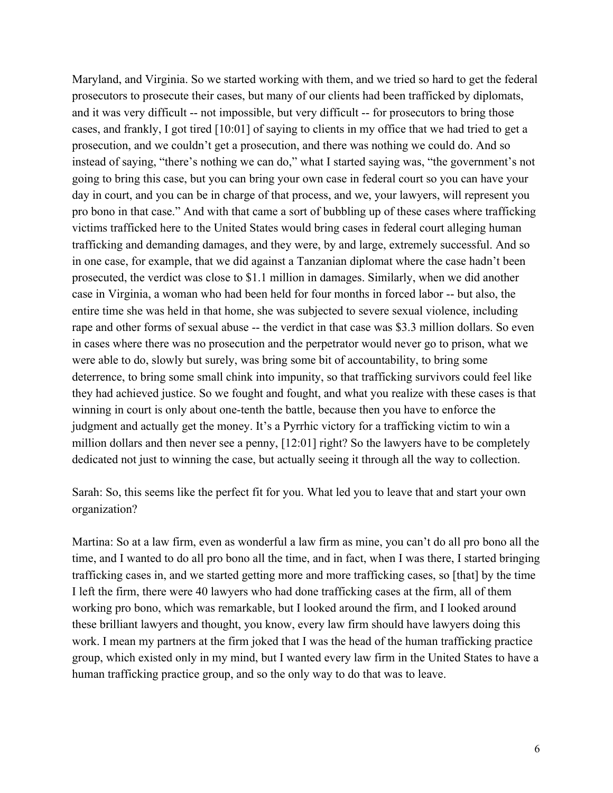Maryland, and Virginia. So we started working with them, and we tried so hard to get the federal prosecutors to prosecute their cases, but many of our clients had been trafficked by diplomats, and it was very difficult -- not impossible, but very difficult -- for prosecutors to bring those cases, and frankly, I got tired [10:01] of saying to clients in my office that we had tried to get a prosecution, and we couldn't get a prosecution, and there was nothing we could do. And so instead of saying, "there's nothing we can do," what I started saying was, "the government's not going to bring this case, but you can bring your own case in federal court so you can have your day in court, and you can be in charge of that process, and we, your lawyers, will represent you pro bono in that case." And with that came a sort of bubbling up of these cases where trafficking victims trafficked here to the United States would bring cases in federal court alleging human trafficking and demanding damages, and they were, by and large, extremely successful. And so in one case, for example, that we did against a Tanzanian diplomat where the case hadn't been prosecuted, the verdict was close to \$1.1 million in damages. Similarly, when we did another case in Virginia, a woman who had been held for four months in forced labor -- but also, the entire time she was held in that home, she was subjected to severe sexual violence, including rape and other forms of sexual abuse -- the verdict in that case was \$3.3 million dollars. So even in cases where there was no prosecution and the perpetrator would never go to prison, what we were able to do, slowly but surely, was bring some bit of accountability, to bring some deterrence, to bring some small chink into impunity, so that trafficking survivors could feel like they had achieved justice. So we fought and fought, and what you realize with these cases is that winning in court is only about one-tenth the battle, because then you have to enforce the judgment and actually get the money. It's a Pyrrhic victory for a trafficking victim to win a million dollars and then never see a penny, [12:01] right? So the lawyers have to be completely dedicated not just to winning the case, but actually seeing it through all the way to collection.

Sarah: So, this seems like the perfect fit for you. What led you to leave that and start your own organization?

Martina: So at a law firm, even as wonderful a law firm as mine, you can't do all pro bono all the time, and I wanted to do all pro bono all the time, and in fact, when I was there, I started bringing trafficking cases in, and we started getting more and more trafficking cases, so [that] by the time I left the firm, there were 40 lawyers who had done trafficking cases at the firm, all of them working pro bono, which was remarkable, but I looked around the firm, and I looked around these brilliant lawyers and thought, you know, every law firm should have lawyers doing this work. I mean my partners at the firm joked that I was the head of the human trafficking practice group, which existed only in my mind, but I wanted every law firm in the United States to have a human trafficking practice group, and so the only way to do that was to leave.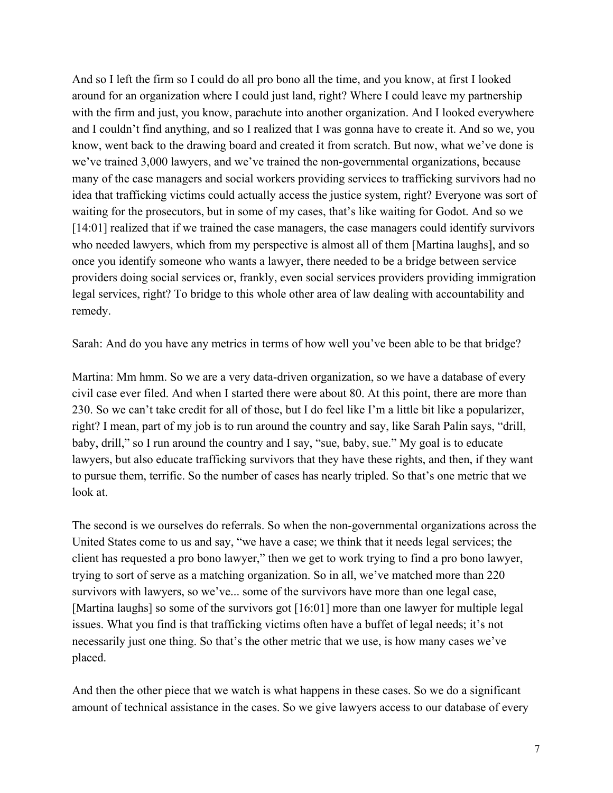And so I left the firm so I could do all pro bono all the time, and you know, at first I looked around for an organization where I could just land, right? Where I could leave my partnership with the firm and just, you know, parachute into another organization. And I looked everywhere and I couldn't find anything, and so I realized that I was gonna have to create it. And so we, you know, went back to the drawing board and created it from scratch. But now, what we've done is we've trained 3,000 lawyers, and we've trained the non-governmental organizations, because many of the case managers and social workers providing services to trafficking survivors had no idea that trafficking victims could actually access the justice system, right? Everyone was sort of waiting for the prosecutors, but in some of my cases, that's like waiting for Godot. And so we [14:01] realized that if we trained the case managers, the case managers could identify survivors who needed lawyers, which from my perspective is almost all of them [Martina laughs], and so once you identify someone who wants a lawyer, there needed to be a bridge between service providers doing social services or, frankly, even social services providers providing immigration legal services, right? To bridge to this whole other area of law dealing with accountability and remedy.

Sarah: And do you have any metrics in terms of how well you've been able to be that bridge?

Martina: Mm hmm. So we are a very data-driven organization, so we have a database of every civil case ever filed. And when I started there were about 80. At this point, there are more than 230. So we can't take credit for all of those, but I do feel like I'm a little bit like a popularizer, right? I mean, part of my job is to run around the country and say, like Sarah Palin says, "drill, baby, drill," so I run around the country and I say, "sue, baby, sue." My goal is to educate lawyers, but also educate trafficking survivors that they have these rights, and then, if they want to pursue them, terrific. So the number of cases has nearly tripled. So that's one metric that we look at.

The second is we ourselves do referrals. So when the non-governmental organizations across the United States come to us and say, "we have a case; we think that it needs legal services; the client has requested a pro bono lawyer," then we get to work trying to find a pro bono lawyer, trying to sort of serve as a matching organization. So in all, we've matched more than 220 survivors with lawyers, so we've... some of the survivors have more than one legal case, [Martina laughs] so some of the survivors got [16:01] more than one lawyer for multiple legal issues. What you find is that trafficking victims often have a buffet of legal needs; it's not necessarily just one thing. So that's the other metric that we use, is how many cases we've placed.

And then the other piece that we watch is what happens in these cases. So we do a significant amount of technical assistance in the cases. So we give lawyers access to our database of every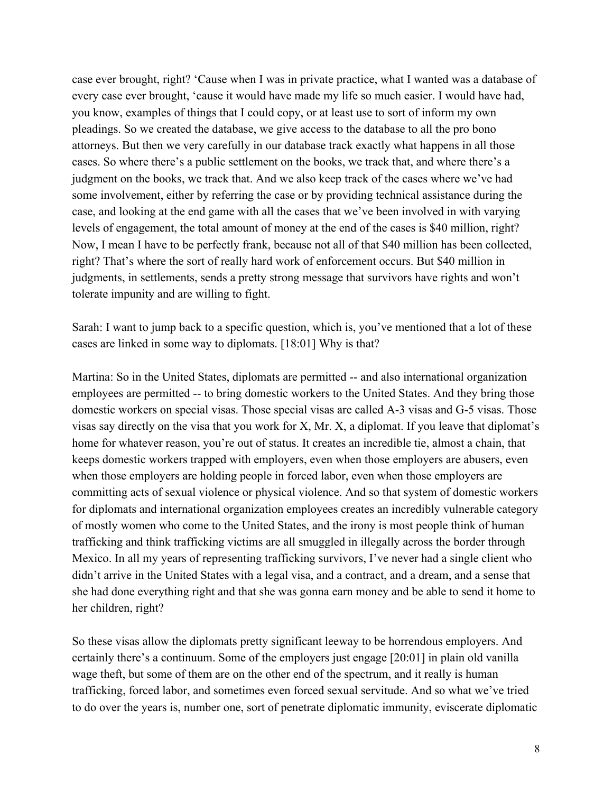case ever brought, right? 'Cause when I was in private practice, what I wanted was a database of every case ever brought, 'cause it would have made my life so much easier. I would have had, you know, examples of things that I could copy, or at least use to sort of inform my own pleadings. So we created the database, we give access to the database to all the pro bono attorneys. But then we very carefully in our database track exactly what happens in all those cases. So where there's a public settlement on the books, we track that, and where there's a judgment on the books, we track that. And we also keep track of the cases where we've had some involvement, either by referring the case or by providing technical assistance during the case, and looking at the end game with all the cases that we've been involved in with varying levels of engagement, the total amount of money at the end of the cases is \$40 million, right? Now, I mean I have to be perfectly frank, because not all of that \$40 million has been collected, right? That's where the sort of really hard work of enforcement occurs. But \$40 million in judgments, in settlements, sends a pretty strong message that survivors have rights and won't tolerate impunity and are willing to fight.

Sarah: I want to jump back to a specific question, which is, you've mentioned that a lot of these cases are linked in some way to diplomats. [18:01] Why is that?

Martina: So in the United States, diplomats are permitted -- and also international organization employees are permitted -- to bring domestic workers to the United States. And they bring those domestic workers on special visas. Those special visas are called A-3 visas and G-5 visas. Those visas say directly on the visa that you work for X, Mr. X, a diplomat. If you leave that diplomat's home for whatever reason, you're out of status. It creates an incredible tie, almost a chain, that keeps domestic workers trapped with employers, even when those employers are abusers, even when those employers are holding people in forced labor, even when those employers are committing acts of sexual violence or physical violence. And so that system of domestic workers for diplomats and international organization employees creates an incredibly vulnerable category of mostly women who come to the United States, and the irony is most people think of human trafficking and think trafficking victims are all smuggled in illegally across the border through Mexico. In all my years of representing trafficking survivors, I've never had a single client who didn't arrive in the United States with a legal visa, and a contract, and a dream, and a sense that she had done everything right and that she was gonna earn money and be able to send it home to her children, right?

So these visas allow the diplomats pretty significant leeway to be horrendous employers. And certainly there's a continuum. Some of the employers just engage [20:01] in plain old vanilla wage theft, but some of them are on the other end of the spectrum, and it really is human trafficking, forced labor, and sometimes even forced sexual servitude. And so what we've tried to do over the years is, number one, sort of penetrate diplomatic immunity, eviscerate diplomatic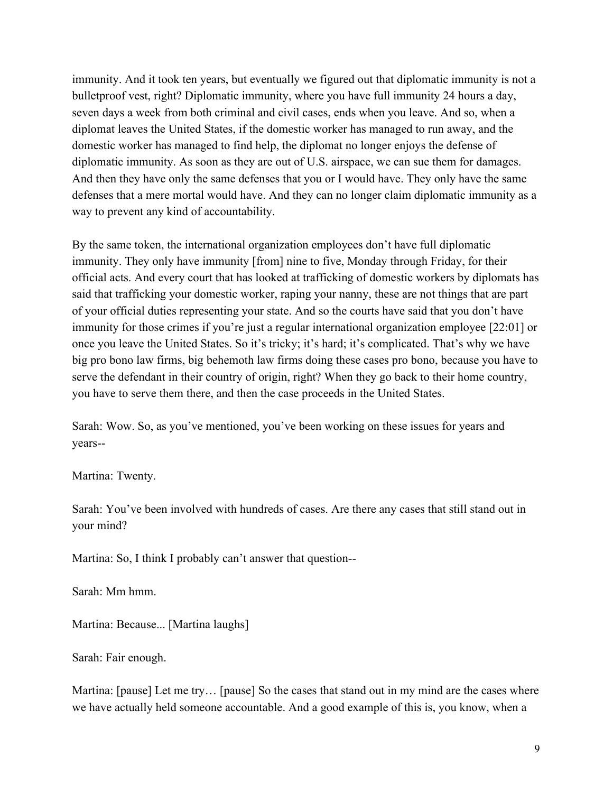immunity. And it took ten years, but eventually we figured out that diplomatic immunity is not a bulletproof vest, right? Diplomatic immunity, where you have full immunity 24 hours a day, seven days a week from both criminal and civil cases, ends when you leave. And so, when a diplomat leaves the United States, if the domestic worker has managed to run away, and the domestic worker has managed to find help, the diplomat no longer enjoys the defense of diplomatic immunity. As soon as they are out of U.S. airspace, we can sue them for damages. And then they have only the same defenses that you or I would have. They only have the same defenses that a mere mortal would have. And they can no longer claim diplomatic immunity as a way to prevent any kind of accountability.

By the same token, the international organization employees don't have full diplomatic immunity. They only have immunity [from] nine to five, Monday through Friday, for their official acts. And every court that has looked at trafficking of domestic workers by diplomats has said that trafficking your domestic worker, raping your nanny, these are not things that are part of your official duties representing your state. And so the courts have said that you don't have immunity for those crimes if you're just a regular international organization employee [22:01] or once you leave the United States. So it's tricky; it's hard; it's complicated. That's why we have big pro bono law firms, big behemoth law firms doing these cases pro bono, because you have to serve the defendant in their country of origin, right? When they go back to their home country, you have to serve them there, and then the case proceeds in the United States.

Sarah: Wow. So, as you've mentioned, you've been working on these issues for years and years--

Martina: Twenty.

Sarah: You've been involved with hundreds of cases. Are there any cases that still stand out in your mind?

Martina: So, I think I probably can't answer that question--

Sarah: Mm hmm.

Martina: Because... [Martina laughs]

Sarah: Fair enough.

Martina: [pause] Let me try… [pause] So the cases that stand out in my mind are the cases where we have actually held someone accountable. And a good example of this is, you know, when a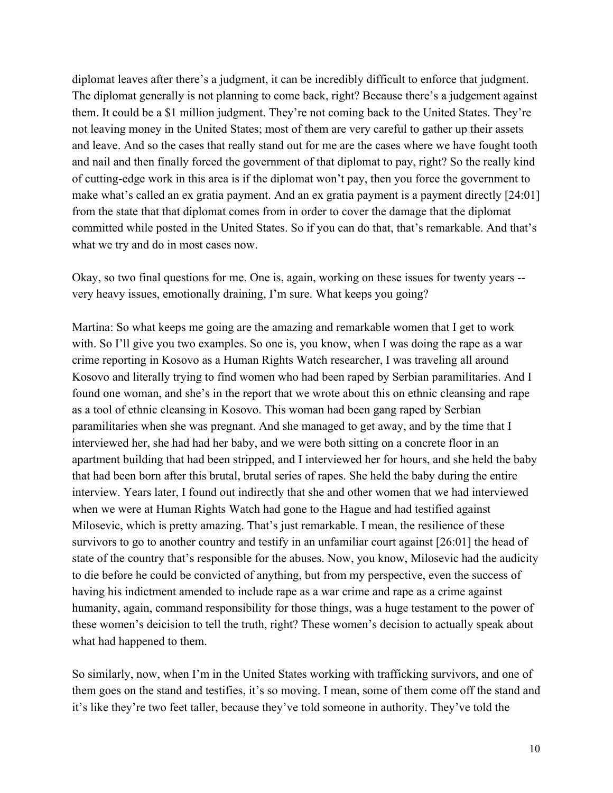diplomat leaves after there's a judgment, it can be incredibly difficult to enforce that judgment. The diplomat generally is not planning to come back, right? Because there's a judgement against them. It could be a \$1 million judgment. They're not coming back to the United States. They're not leaving money in the United States; most of them are very careful to gather up their assets and leave. And so the cases that really stand out for me are the cases where we have fought tooth and nail and then finally forced the government of that diplomat to pay, right? So the really kind of cutting-edge work in this area is if the diplomat won't pay, then you force the government to make what's called an ex gratia payment. And an ex gratia payment is a payment directly [24:01] from the state that that diplomat comes from in order to cover the damage that the diplomat committed while posted in the United States. So if you can do that, that's remarkable. And that's what we try and do in most cases now.

Okay, so two final questions for me. One is, again, working on these issues for twenty years - very heavy issues, emotionally draining, I'm sure. What keeps you going?

Martina: So what keeps me going are the amazing and remarkable women that I get to work with. So I'll give you two examples. So one is, you know, when I was doing the rape as a war crime reporting in Kosovo as a Human Rights Watch researcher, I was traveling all around Kosovo and literally trying to find women who had been raped by Serbian paramilitaries. And I found one woman, and she's in the report that we wrote about this on ethnic cleansing and rape as a tool of ethnic cleansing in Kosovo. This woman had been gang raped by Serbian paramilitaries when she was pregnant. And she managed to get away, and by the time that I interviewed her, she had had her baby, and we were both sitting on a concrete floor in an apartment building that had been stripped, and I interviewed her for hours, and she held the baby that had been born after this brutal, brutal series of rapes. She held the baby during the entire interview. Years later, I found out indirectly that she and other women that we had interviewed when we were at Human Rights Watch had gone to the Hague and had testified against Milosevic, which is pretty amazing. That's just remarkable. I mean, the resilience of these survivors to go to another country and testify in an unfamiliar court against [26:01] the head of state of the country that's responsible for the abuses. Now, you know, Milosevic had the audicity to die before he could be convicted of anything, but from my perspective, even the success of having his indictment amended to include rape as a war crime and rape as a crime against humanity, again, command responsibility for those things, was a huge testament to the power of these women's deicision to tell the truth, right? These women's decision to actually speak about what had happened to them.

So similarly, now, when I'm in the United States working with trafficking survivors, and one of them goes on the stand and testifies, it's so moving. I mean, some of them come off the stand and it's like they're two feet taller, because they've told someone in authority. They've told the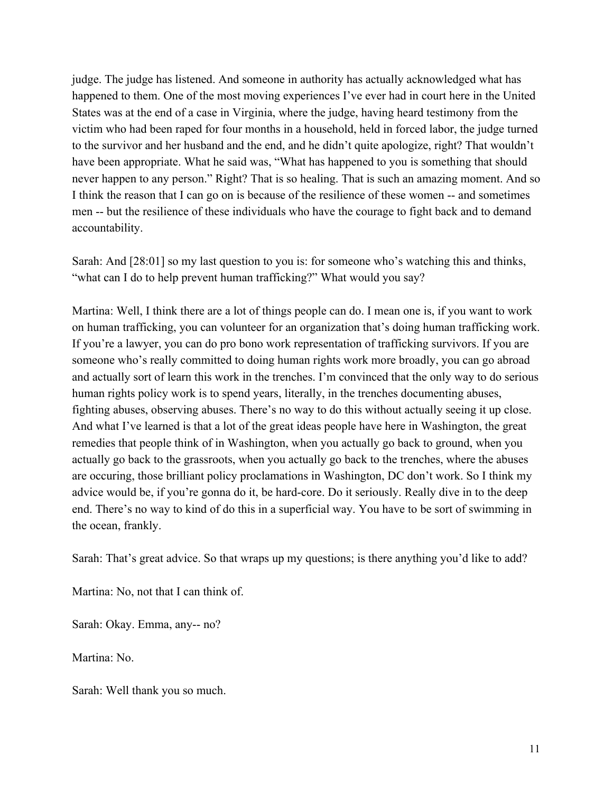judge. The judge has listened. And someone in authority has actually acknowledged what has happened to them. One of the most moving experiences I've ever had in court here in the United States was at the end of a case in Virginia, where the judge, having heard testimony from the victim who had been raped for four months in a household, held in forced labor, the judge turned to the survivor and her husband and the end, and he didn't quite apologize, right? That wouldn't have been appropriate. What he said was, "What has happened to you is something that should never happen to any person." Right? That is so healing. That is such an amazing moment. And so I think the reason that I can go on is because of the resilience of these women -- and sometimes men -- but the resilience of these individuals who have the courage to fight back and to demand accountability.

Sarah: And [28:01] so my last question to you is: for someone who's watching this and thinks, "what can I do to help prevent human trafficking?" What would you say?

Martina: Well, I think there are a lot of things people can do. I mean one is, if you want to work on human trafficking, you can volunteer for an organization that's doing human trafficking work. If you're a lawyer, you can do pro bono work representation of trafficking survivors. If you are someone who's really committed to doing human rights work more broadly, you can go abroad and actually sort of learn this work in the trenches. I'm convinced that the only way to do serious human rights policy work is to spend years, literally, in the trenches documenting abuses, fighting abuses, observing abuses. There's no way to do this without actually seeing it up close. And what I've learned is that a lot of the great ideas people have here in Washington, the great remedies that people think of in Washington, when you actually go back to ground, when you actually go back to the grassroots, when you actually go back to the trenches, where the abuses are occuring, those brilliant policy proclamations in Washington, DC don't work. So I think my advice would be, if you're gonna do it, be hard-core. Do it seriously. Really dive in to the deep end. There's no way to kind of do this in a superficial way. You have to be sort of swimming in the ocean, frankly.

Sarah: That's great advice. So that wraps up my questions; is there anything you'd like to add?

Martina: No, not that I can think of.

Sarah: Okay. Emma, any-- no?

Martina: No.

Sarah: Well thank you so much.